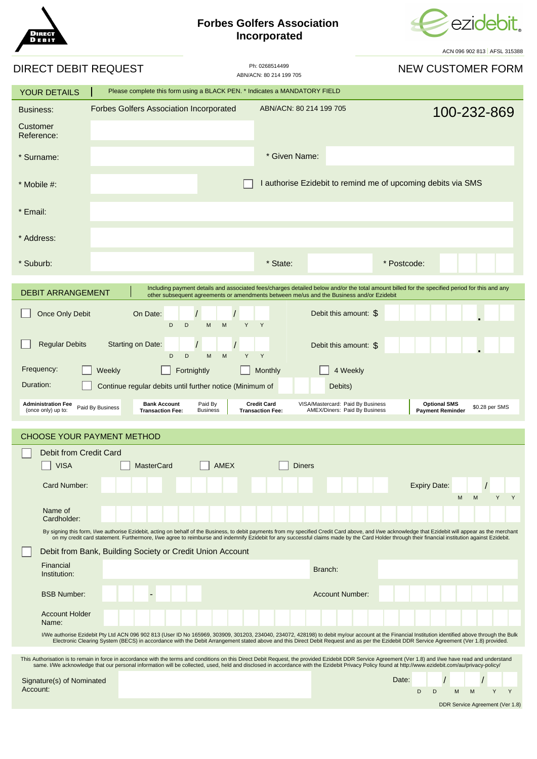## **Forbes Golfers Association Incorporated**



ACN 096 902 813 AFSL 315388

| DIRECT DEBIT REQUEST                                                                                                                                                                                                                                                                                                                                                                                              |                                                | Ph: 0268514499<br>ABN/ACN: 80 214 199 705 | ACIN USU SUZ UTJ I AL JE J IJJUGU<br><b>NEW CUSTOMER FORM</b> |
|-------------------------------------------------------------------------------------------------------------------------------------------------------------------------------------------------------------------------------------------------------------------------------------------------------------------------------------------------------------------------------------------------------------------|------------------------------------------------|-------------------------------------------|---------------------------------------------------------------|
| Please complete this form using a BLACK PEN. * Indicates a MANDATORY FIELD<br><b>YOUR DETAILS</b>                                                                                                                                                                                                                                                                                                                 |                                                |                                           |                                                               |
| <b>Business:</b><br>Customer<br>Reference:                                                                                                                                                                                                                                                                                                                                                                        | <b>Forbes Golfers Association Incorporated</b> | ABN/ACN: 80 214 199 705                   | 100-232-869                                                   |
| * Surname:                                                                                                                                                                                                                                                                                                                                                                                                        |                                                | * Given Name:                             |                                                               |
| $*$ Mobile #:                                                                                                                                                                                                                                                                                                                                                                                                     |                                                |                                           | I authorise Ezidebit to remind me of upcoming debits via SMS  |
| * Email:                                                                                                                                                                                                                                                                                                                                                                                                          |                                                |                                           |                                                               |
| * Address:                                                                                                                                                                                                                                                                                                                                                                                                        |                                                |                                           |                                                               |
| * Suburb:                                                                                                                                                                                                                                                                                                                                                                                                         |                                                | * State:                                  | * Postcode:                                                   |
| Including payment details and associated fees/charges detailed below and/or the total amount billed for the specified period for this and any<br><b>DEBIT ARRANGEMENT</b><br>other subsequent agreements or amendments between me/us and the Business and/or Ezidebit                                                                                                                                             |                                                |                                           |                                                               |
| Once Only Debit                                                                                                                                                                                                                                                                                                                                                                                                   | On Date:<br>D<br>D<br>M<br>M                   | Y<br>Y                                    | Debit this amount: \$                                         |
| <b>Regular Debits</b><br>Starting on Date:<br>Debit this amount: \$<br>Y<br>Y<br>D<br>D<br>M<br>M                                                                                                                                                                                                                                                                                                                 |                                                |                                           |                                                               |
| Frequency:<br>Fortnightly<br>Weekly<br>Monthly<br>4 Weekly                                                                                                                                                                                                                                                                                                                                                        |                                                |                                           |                                                               |
| Duration:<br>Continue regular debits until further notice (Minimum of<br>Debits)                                                                                                                                                                                                                                                                                                                                  |                                                |                                           |                                                               |
| <b>Credit Card</b><br><b>Administration Fee</b><br><b>Bank Account</b><br>Paid By<br>VISA/Mastercard: Paid By Business<br><b>Optional SMS</b><br>\$0.28 per SMS<br>Paid By Business<br>AMEX/Diners: Paid By Business<br>(once only) up to:<br><b>Transaction Fee:</b><br><b>Business</b><br><b>Transaction Fee:</b><br><b>Payment Reminder</b>                                                                    |                                                |                                           |                                                               |
| <b>CHOOSE YOUR PAYMENT METHOD</b>                                                                                                                                                                                                                                                                                                                                                                                 |                                                |                                           |                                                               |
| Debit from Credit Card                                                                                                                                                                                                                                                                                                                                                                                            |                                                |                                           |                                                               |
| <b>AMEX</b><br><b>VISA</b><br><b>MasterCard</b><br><b>Diners</b>                                                                                                                                                                                                                                                                                                                                                  |                                                |                                           |                                                               |
| Card Number:<br><b>Expiry Date:</b><br>Y<br>Y<br>М<br>M                                                                                                                                                                                                                                                                                                                                                           |                                                |                                           |                                                               |
| Name of<br>Cardholder:                                                                                                                                                                                                                                                                                                                                                                                            |                                                |                                           |                                                               |
| By signing this form, I/we authorise Ezidebit, acting on behalf of the Business, to debit payments from my specified Credit Card above, and I/we acknowledge that Ezidebit will appear as the merchant<br>on my credit card statement. Furthermore, I/we agree to reimburse and indemnify Ezidebit for any successful claims made by the Card Holder through their financial institution against Ezidebit.        |                                                |                                           |                                                               |
| Debit from Bank, Building Society or Credit Union Account                                                                                                                                                                                                                                                                                                                                                         |                                                |                                           |                                                               |
| Financial<br>Institution:                                                                                                                                                                                                                                                                                                                                                                                         |                                                | Branch:                                   |                                                               |
| <b>BSB Number:</b>                                                                                                                                                                                                                                                                                                                                                                                                |                                                |                                           | <b>Account Number:</b>                                        |
| <b>Account Holder</b><br>Name:                                                                                                                                                                                                                                                                                                                                                                                    |                                                |                                           |                                                               |
| I/We authorise Ezidebit Pty Ltd ACN 096 902 813 (User ID No 165969, 303909, 301203, 234040, 234072, 428198) to debit my/our account at the Financial Institution identified above through the Bulk<br>Electronic Clearing System (BECS) in accordance with the Debit Arrangement stated above and this Direct Debit Request and as per the Ezidebit DDR Service Agreement (Ver 1.8) provided.                     |                                                |                                           |                                                               |
| This Authorisation is to remain in force in accordance with the terms and conditions on this Direct Debit Request, the provided Ezidebit DDR Service Agreement (Ver 1.8) and I/we have read and understand<br>same. I/We acknowledge that our personal information will be collected, used, held and disclosed in accordance with the Ezidebit Privacy Policy found at http://www.ezidebit.com/au/privacy-policy/ |                                                |                                           |                                                               |
| Signature(s) of Nominated<br>Account:                                                                                                                                                                                                                                                                                                                                                                             |                                                |                                           | Date:<br>D<br>D<br>M<br>Y<br>Y<br>M                           |
|                                                                                                                                                                                                                                                                                                                                                                                                                   |                                                |                                           | DDR Service Agreement (Ver 1.8)                               |